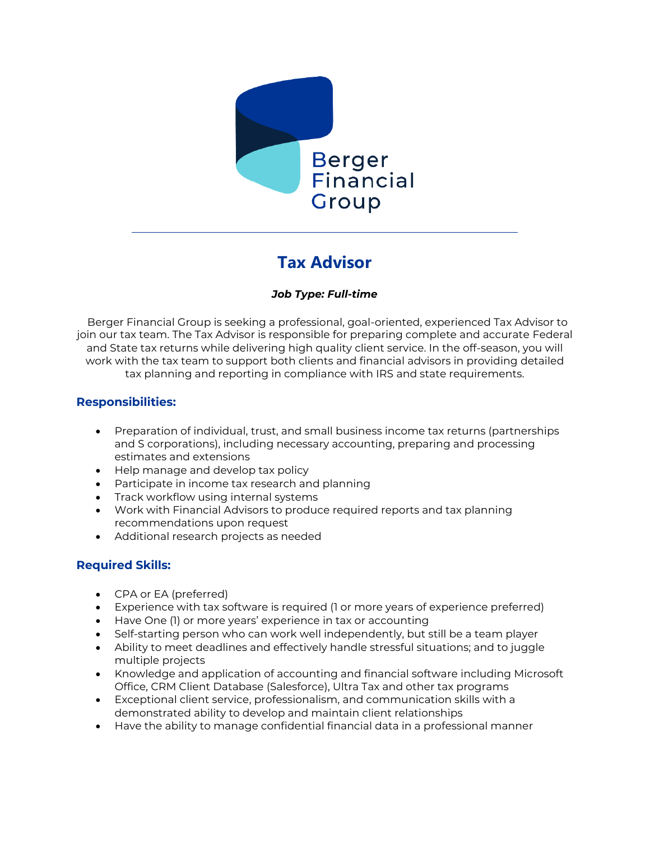

# **Tax Advisor**

## *Job Type: Full-time*

Berger Financial Group is seeking a professional, goal-oriented, experienced Tax Advisor to join our tax team. The Tax Advisor is responsible for preparing complete and accurate Federal and State tax returns while delivering high quality client service. In the off-season, you will work with the tax team to support both clients and financial advisors in providing detailed tax planning and reporting in compliance with IRS and state requirements.

## **Responsibilities:**

- Preparation of individual, trust, and small business income tax returns (partnerships and S corporations), including necessary accounting, preparing and processing estimates and extensions
- Help manage and develop tax policy
- Participate in income tax research and planning
- Track workflow using internal systems
- Work with Financial Advisors to produce required reports and tax planning recommendations upon request
- Additional research projects as needed

## **Required Skills:**

- CPA or EA (preferred)
- Experience with tax software is required (1 or more years of experience preferred)
- Have One (1) or more years' experience in tax or accounting
- Self-starting person who can work well independently, but still be a team player
- Ability to meet deadlines and effectively handle stressful situations; and to juggle multiple projects
- Knowledge and application of accounting and financial software including Microsoft Office, CRM Client Database (Salesforce), Ultra Tax and other tax programs
- Exceptional client service, professionalism, and communication skills with a demonstrated ability to develop and maintain client relationships
- Have the ability to manage confidential financial data in a professional manner